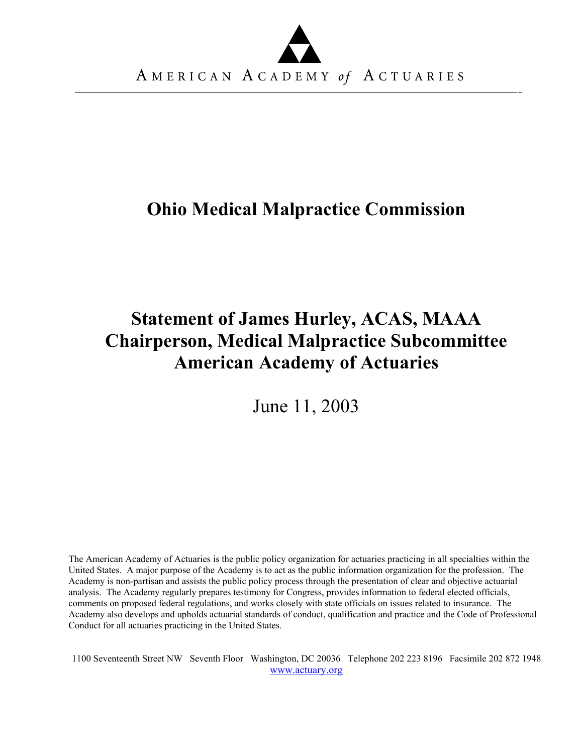

# **Ohio Medical Malpractice Commission**

# **Statement of James Hurley, ACAS, MAAA Chairperson, Medical Malpractice Subcommittee American Academy of Actuaries**

June 11, 2003

The American Academy of Actuaries is the public policy organization for actuaries practicing in all specialties within the United States. A major purpose of the Academy is to act as the public information organization for the profession. The Academy is non-partisan and assists the public policy process through the presentation of clear and objective actuarial analysis. The Academy regularly prepares testimony for Congress, provides information to federal elected officials, comments on proposed federal regulations, and works closely with state officials on issues related to insurance. The Academy also develops and upholds actuarial standards of conduct, qualification and practice and the Code of Professional Conduct for all actuaries practicing in the United States.

1100 Seventeenth Street NW Seventh Floor Washington, DC 20036 Telephone 202 223 8196 Facsimile 202 872 1948 [www.actuary.org](http://www.actuary.org/)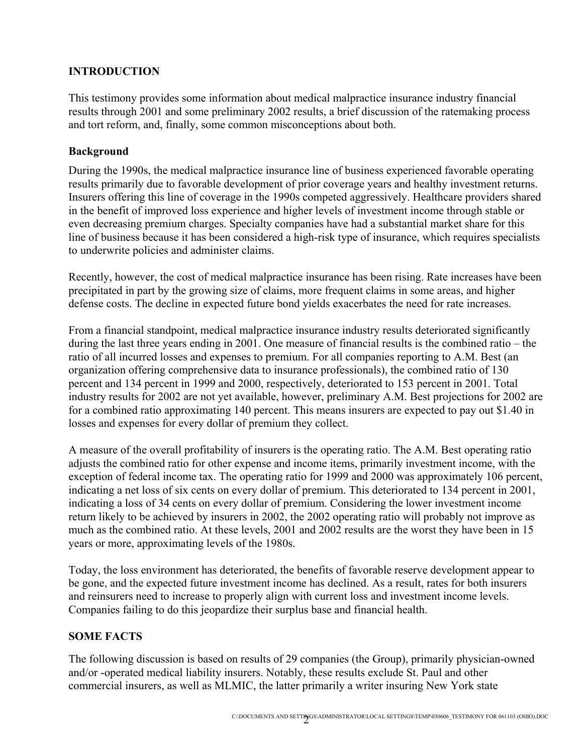## **INTRODUCTION**

This testimony provides some information about medical malpractice insurance industry financial results through 2001 and some preliminary 2002 results, a brief discussion of the ratemaking process and tort reform, and, finally, some common misconceptions about both.

### **Background**

During the 1990s, the medical malpractice insurance line of business experienced favorable operating results primarily due to favorable development of prior coverage years and healthy investment returns. Insurers offering this line of coverage in the 1990s competed aggressively. Healthcare providers shared in the benefit of improved loss experience and higher levels of investment income through stable or even decreasing premium charges. Specialty companies have had a substantial market share for this line of business because it has been considered a high-risk type of insurance, which requires specialists to underwrite policies and administer claims.

Recently, however, the cost of medical malpractice insurance has been rising. Rate increases have been precipitated in part by the growing size of claims, more frequent claims in some areas, and higher defense costs. The decline in expected future bond yields exacerbates the need for rate increases.

From a financial standpoint, medical malpractice insurance industry results deteriorated significantly during the last three years ending in 2001. One measure of financial results is the combined ratio – the ratio of all incurred losses and expenses to premium. For all companies reporting to A.M. Best (an organization offering comprehensive data to insurance professionals), the combined ratio of 130 percent and 134 percent in 1999 and 2000, respectively, deteriorated to 153 percent in 2001. Total industry results for 2002 are not yet available, however, preliminary A.M. Best projections for 2002 are for a combined ratio approximating 140 percent. This means insurers are expected to pay out \$1.40 in losses and expenses for every dollar of premium they collect.

A measure of the overall profitability of insurers is the operating ratio. The A.M. Best operating ratio adjusts the combined ratio for other expense and income items, primarily investment income, with the exception of federal income tax. The operating ratio for 1999 and 2000 was approximately 106 percent, indicating a net loss of six cents on every dollar of premium. This deteriorated to 134 percent in 2001, indicating a loss of 34 cents on every dollar of premium. Considering the lower investment income return likely to be achieved by insurers in 2002, the 2002 operating ratio will probably not improve as much as the combined ratio. At these levels, 2001 and 2002 results are the worst they have been in 15 years or more, approximating levels of the 1980s.

Today, the loss environment has deteriorated, the benefits of favorable reserve development appear to be gone, and the expected future investment income has declined. As a result, rates for both insurers and reinsurers need to increase to properly align with current loss and investment income levels. Companies failing to do this jeopardize their surplus base and financial health.

### **SOME FACTS**

The following discussion is based on results of 29 companies (the Group), primarily physician-owned and/or -operated medical liability insurers. Notably, these results exclude St. Paul and other commercial insurers, as well as MLMIC, the latter primarily a writer insuring New York state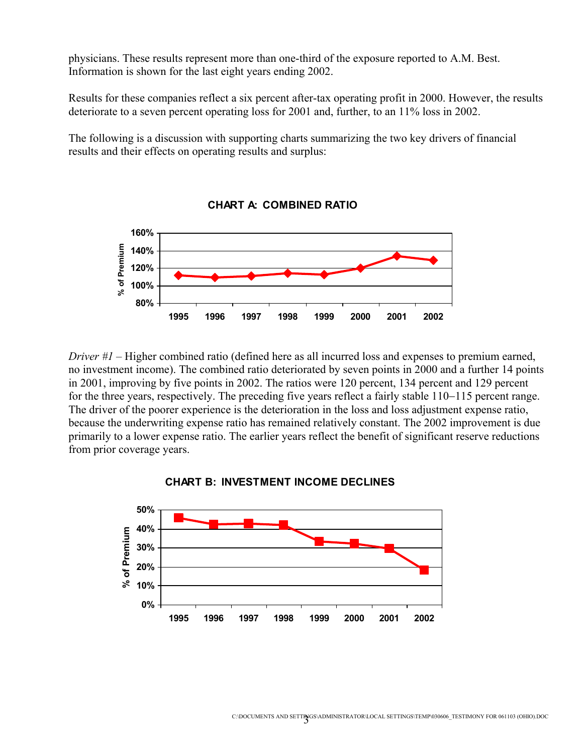physicians. These results represent more than one-third of the exposure reported to A.M. Best. Information is shown for the last eight years ending 2002.

Results for these companies reflect a six percent after-tax operating profit in 2000. However, the results deteriorate to a seven percent operating loss for 2001 and, further, to an 11% loss in 2002.

The following is a discussion with supporting charts summarizing the two key drivers of financial results and their effects on operating results and surplus:



**CHART A: COMBINED RATIO**

*Driver #1* – Higher combined ratio (defined here as all incurred loss and expenses to premium earned, no investment income). The combined ratio deteriorated by seven points in 2000 and a further 14 points in 2001, improving by five points in 2002. The ratios were 120 percent, 134 percent and 129 percent for the three years, respectively. The preceding five years reflect a fairly stable 110−115 percent range. The driver of the poorer experience is the deterioration in the loss and loss adjustment expense ratio, because the underwriting expense ratio has remained relatively constant. The 2002 improvement is due primarily to a lower expense ratio. The earlier years reflect the benefit of significant reserve reductions from prior coverage years.



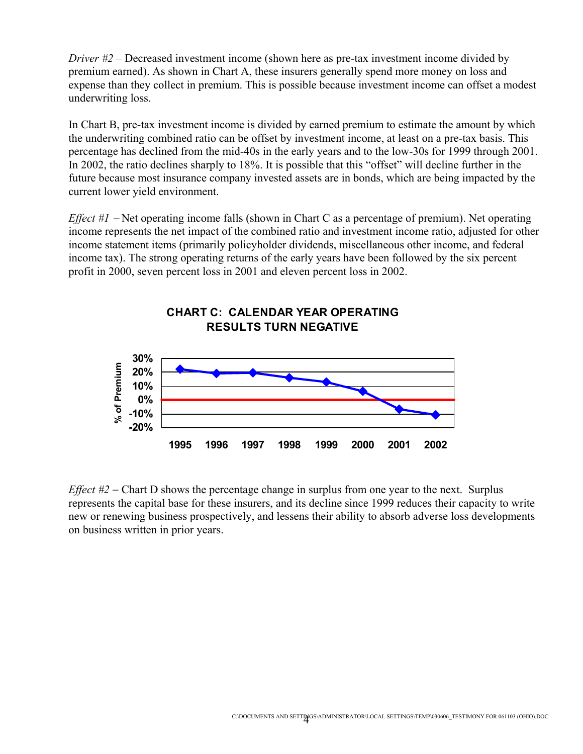*Driver #2* – Decreased investment income (shown here as pre-tax investment income divided by premium earned). As shown in Chart A, these insurers generally spend more money on loss and expense than they collect in premium. This is possible because investment income can offset a modest underwriting loss.

In Chart B, pre-tax investment income is divided by earned premium to estimate the amount by which the underwriting combined ratio can be offset by investment income, at least on a pre-tax basis. This percentage has declined from the mid-40s in the early years and to the low-30s for 1999 through 2001. In 2002, the ratio declines sharply to 18%. It is possible that this "offset" will decline further in the future because most insurance company invested assets are in bonds, which are being impacted by the current lower yield environment.

*Effect #1* − Net operating income falls (shown in Chart C as a percentage of premium). Net operating income represents the net impact of the combined ratio and investment income ratio, adjusted for other income statement items (primarily policyholder dividends, miscellaneous other income, and federal income tax). The strong operating returns of the early years have been followed by the six percent profit in 2000, seven percent loss in 2001 and eleven percent loss in 2002.



## **CHART C: CALENDAR YEAR OPERATING RESULTS TURN NEGATIVE**

*Effect #2* − Chart D shows the percentage change in surplus from one year to the next. Surplus represents the capital base for these insurers, and its decline since 1999 reduces their capacity to write new or renewing business prospectively, and lessens their ability to absorb adverse loss developments on business written in prior years.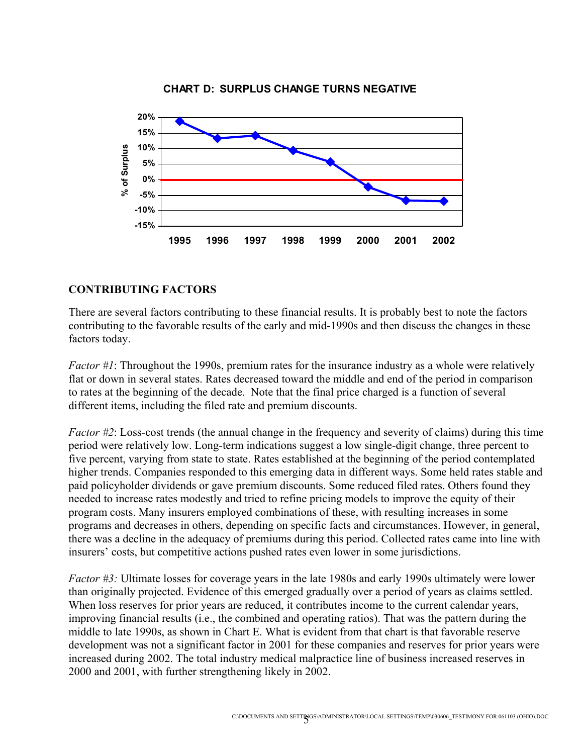



#### **CONTRIBUTING FACTORS**

There are several factors contributing to these financial results. It is probably best to note the factors contributing to the favorable results of the early and mid-1990s and then discuss the changes in these factors today.

*Factor #1*: Throughout the 1990s, premium rates for the insurance industry as a whole were relatively flat or down in several states. Rates decreased toward the middle and end of the period in comparison to rates at the beginning of the decade. Note that the final price charged is a function of several different items, including the filed rate and premium discounts.

*Factor #2*: Loss-cost trends (the annual change in the frequency and severity of claims) during this time period were relatively low. Long-term indications suggest a low single-digit change, three percent to five percent, varying from state to state. Rates established at the beginning of the period contemplated higher trends. Companies responded to this emerging data in different ways. Some held rates stable and paid policyholder dividends or gave premium discounts. Some reduced filed rates. Others found they needed to increase rates modestly and tried to refine pricing models to improve the equity of their program costs. Many insurers employed combinations of these, with resulting increases in some programs and decreases in others, depending on specific facts and circumstances. However, in general, there was a decline in the adequacy of premiums during this period. Collected rates came into line with insurers' costs, but competitive actions pushed rates even lower in some jurisdictions.

*Factor #3:* Ultimate losses for coverage years in the late 1980s and early 1990s ultimately were lower than originally projected. Evidence of this emerged gradually over a period of years as claims settled. When loss reserves for prior years are reduced, it contributes income to the current calendar years, improving financial results (i.e., the combined and operating ratios). That was the pattern during the middle to late 1990s, as shown in Chart E. What is evident from that chart is that favorable reserve development was not a significant factor in 2001 for these companies and reserves for prior years were increased during 2002. The total industry medical malpractice line of business increased reserves in 2000 and 2001, with further strengthening likely in 2002.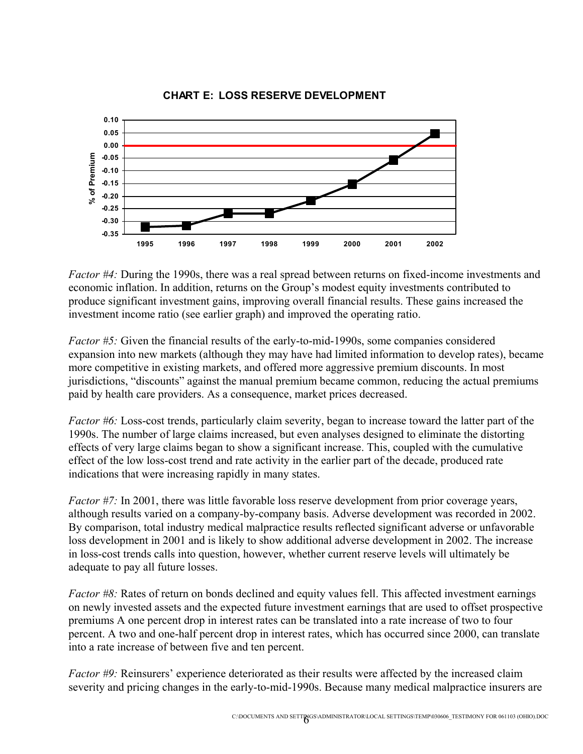

#### **CHART E: LOSS RESERVE DEVELOPMENT**

*Factor #4:* During the 1990s, there was a real spread between returns on fixed-income investments and economic inflation. In addition, returns on the Group's modest equity investments contributed to produce significant investment gains, improving overall financial results. These gains increased the investment income ratio (see earlier graph) and improved the operating ratio.

*Factor #5:* Given the financial results of the early-to-mid-1990s, some companies considered expansion into new markets (although they may have had limited information to develop rates), became more competitive in existing markets, and offered more aggressive premium discounts. In most jurisdictions, "discounts" against the manual premium became common, reducing the actual premiums paid by health care providers. As a consequence, market prices decreased.

*Factor #6:* Loss-cost trends, particularly claim severity, began to increase toward the latter part of the 1990s. The number of large claims increased, but even analyses designed to eliminate the distorting effects of very large claims began to show a significant increase. This, coupled with the cumulative effect of the low loss-cost trend and rate activity in the earlier part of the decade, produced rate indications that were increasing rapidly in many states.

*Factor #7:* In 2001, there was little favorable loss reserve development from prior coverage years, although results varied on a company-by-company basis. Adverse development was recorded in 2002. By comparison, total industry medical malpractice results reflected significant adverse or unfavorable loss development in 2001 and is likely to show additional adverse development in 2002. The increase in loss-cost trends calls into question, however, whether current reserve levels will ultimately be adequate to pay all future losses.

*Factor #8:* Rates of return on bonds declined and equity values fell. This affected investment earnings on newly invested assets and the expected future investment earnings that are used to offset prospective premiums A one percent drop in interest rates can be translated into a rate increase of two to four percent. A two and one-half percent drop in interest rates, which has occurred since 2000, can translate into a rate increase of between five and ten percent.

*Factor #9:* Reinsurers' experience deteriorated as their results were affected by the increased claim severity and pricing changes in the early-to-mid-1990s. Because many medical malpractice insurers are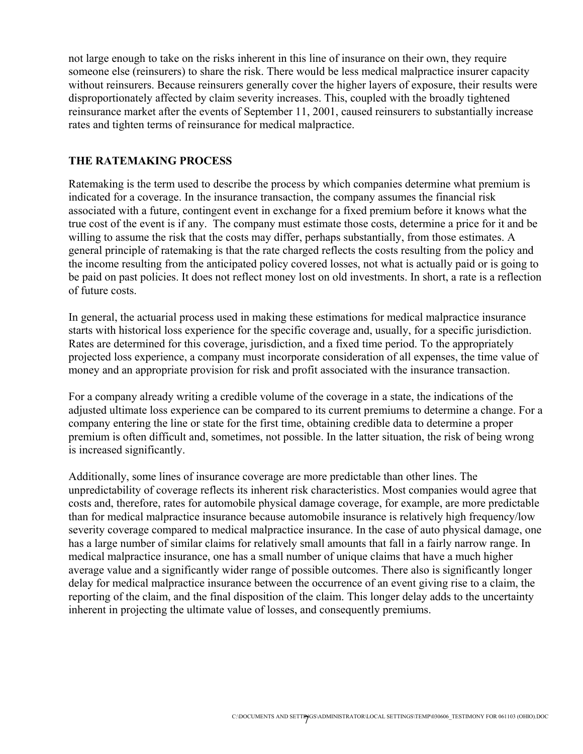not large enough to take on the risks inherent in this line of insurance on their own, they require someone else (reinsurers) to share the risk. There would be less medical malpractice insurer capacity without reinsurers. Because reinsurers generally cover the higher layers of exposure, their results were disproportionately affected by claim severity increases. This, coupled with the broadly tightened reinsurance market after the events of September 11, 2001, caused reinsurers to substantially increase rates and tighten terms of reinsurance for medical malpractice.

#### **THE RATEMAKING PROCESS**

Ratemaking is the term used to describe the process by which companies determine what premium is indicated for a coverage. In the insurance transaction, the company assumes the financial risk associated with a future, contingent event in exchange for a fixed premium before it knows what the true cost of the event is if any. The company must estimate those costs, determine a price for it and be willing to assume the risk that the costs may differ, perhaps substantially, from those estimates. A general principle of ratemaking is that the rate charged reflects the costs resulting from the policy and the income resulting from the anticipated policy covered losses, not what is actually paid or is going to be paid on past policies. It does not reflect money lost on old investments. In short, a rate is a reflection of future costs.

In general, the actuarial process used in making these estimations for medical malpractice insurance starts with historical loss experience for the specific coverage and, usually, for a specific jurisdiction. Rates are determined for this coverage, jurisdiction, and a fixed time period. To the appropriately projected loss experience, a company must incorporate consideration of all expenses, the time value of money and an appropriate provision for risk and profit associated with the insurance transaction.

For a company already writing a credible volume of the coverage in a state, the indications of the adjusted ultimate loss experience can be compared to its current premiums to determine a change. For a company entering the line or state for the first time, obtaining credible data to determine a proper premium is often difficult and, sometimes, not possible. In the latter situation, the risk of being wrong is increased significantly.

Additionally, some lines of insurance coverage are more predictable than other lines. The unpredictability of coverage reflects its inherent risk characteristics. Most companies would agree that costs and, therefore, rates for automobile physical damage coverage, for example, are more predictable than for medical malpractice insurance because automobile insurance is relatively high frequency/low severity coverage compared to medical malpractice insurance. In the case of auto physical damage, one has a large number of similar claims for relatively small amounts that fall in a fairly narrow range. In medical malpractice insurance, one has a small number of unique claims that have a much higher average value and a significantly wider range of possible outcomes. There also is significantly longer delay for medical malpractice insurance between the occurrence of an event giving rise to a claim, the reporting of the claim, and the final disposition of the claim. This longer delay adds to the uncertainty inherent in projecting the ultimate value of losses, and consequently premiums.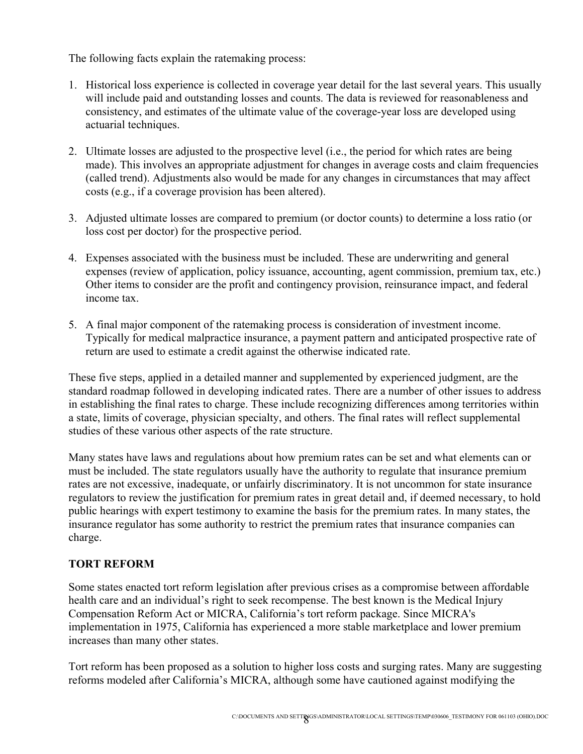The following facts explain the ratemaking process:

- 1. Historical loss experience is collected in coverage year detail for the last several years. This usually will include paid and outstanding losses and counts. The data is reviewed for reasonableness and consistency, and estimates of the ultimate value of the coverage-year loss are developed using actuarial techniques.
- 2. Ultimate losses are adjusted to the prospective level (i.e., the period for which rates are being made). This involves an appropriate adjustment for changes in average costs and claim frequencies (called trend). Adjustments also would be made for any changes in circumstances that may affect costs (e.g., if a coverage provision has been altered).
- 3. Adjusted ultimate losses are compared to premium (or doctor counts) to determine a loss ratio (or loss cost per doctor) for the prospective period.
- 4. Expenses associated with the business must be included. These are underwriting and general expenses (review of application, policy issuance, accounting, agent commission, premium tax, etc.) Other items to consider are the profit and contingency provision, reinsurance impact, and federal income tax.
- 5. A final major component of the ratemaking process is consideration of investment income. Typically for medical malpractice insurance, a payment pattern and anticipated prospective rate of return are used to estimate a credit against the otherwise indicated rate.

These five steps, applied in a detailed manner and supplemented by experienced judgment, are the standard roadmap followed in developing indicated rates. There are a number of other issues to address in establishing the final rates to charge. These include recognizing differences among territories within a state, limits of coverage, physician specialty, and others. The final rates will reflect supplemental studies of these various other aspects of the rate structure.

Many states have laws and regulations about how premium rates can be set and what elements can or must be included. The state regulators usually have the authority to regulate that insurance premium rates are not excessive, inadequate, or unfairly discriminatory. It is not uncommon for state insurance regulators to review the justification for premium rates in great detail and, if deemed necessary, to hold public hearings with expert testimony to examine the basis for the premium rates. In many states, the insurance regulator has some authority to restrict the premium rates that insurance companies can charge.

## **TORT REFORM**

Some states enacted tort reform legislation after previous crises as a compromise between affordable health care and an individual's right to seek recompense. The best known is the Medical Injury Compensation Reform Act or MICRA, California's tort reform package. Since MICRA's implementation in 1975, California has experienced a more stable marketplace and lower premium increases than many other states.

Tort reform has been proposed as a solution to higher loss costs and surging rates. Many are suggesting reforms modeled after California's MICRA, although some have cautioned against modifying the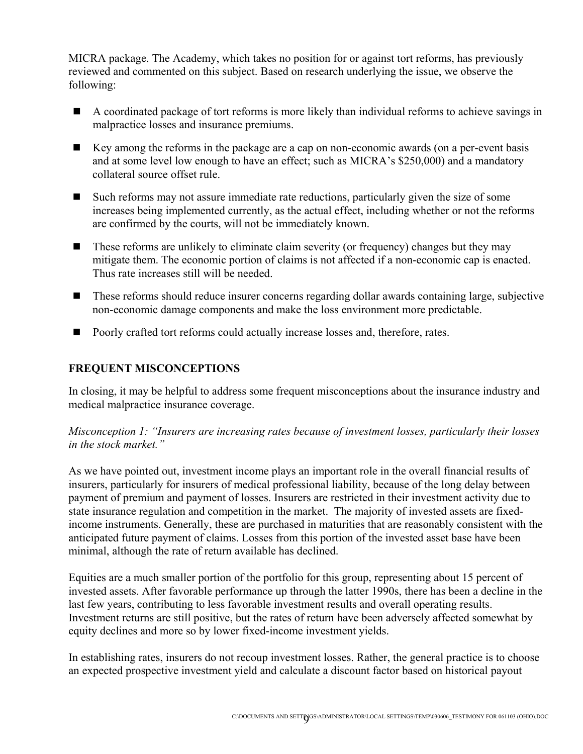MICRA package. The Academy, which takes no position for or against tort reforms, has previously reviewed and commented on this subject. Based on research underlying the issue, we observe the following:

- A coordinated package of tort reforms is more likely than individual reforms to achieve savings in malpractice losses and insurance premiums.
- Key among the reforms in the package are a cap on non-economic awards (on a per-event basis and at some level low enough to have an effect; such as MICRA's \$250,000) and a mandatory collateral source offset rule.
- Such reforms may not assure immediate rate reductions, particularly given the size of some increases being implemented currently, as the actual effect, including whether or not the reforms are confirmed by the courts, will not be immediately known.
- These reforms are unlikely to eliminate claim severity (or frequency) changes but they may mitigate them. The economic portion of claims is not affected if a non-economic cap is enacted. Thus rate increases still will be needed.
- These reforms should reduce insurer concerns regarding dollar awards containing large, subjective non-economic damage components and make the loss environment more predictable.
- Poorly crafted tort reforms could actually increase losses and, therefore, rates.

### **FREQUENT MISCONCEPTIONS**

In closing, it may be helpful to address some frequent misconceptions about the insurance industry and medical malpractice insurance coverage.

### *Misconception 1: "Insurers are increasing rates because of investment losses, particularly their losses in the stock market."*

As we have pointed out, investment income plays an important role in the overall financial results of insurers, particularly for insurers of medical professional liability, because of the long delay between payment of premium and payment of losses. Insurers are restricted in their investment activity due to state insurance regulation and competition in the market. The majority of invested assets are fixedincome instruments. Generally, these are purchased in maturities that are reasonably consistent with the anticipated future payment of claims. Losses from this portion of the invested asset base have been minimal, although the rate of return available has declined.

Equities are a much smaller portion of the portfolio for this group, representing about 15 percent of invested assets. After favorable performance up through the latter 1990s, there has been a decline in the last few years, contributing to less favorable investment results and overall operating results. Investment returns are still positive, but the rates of return have been adversely affected somewhat by equity declines and more so by lower fixed-income investment yields.

In establishing rates, insurers do not recoup investment losses. Rather, the general practice is to choose an expected prospective investment yield and calculate a discount factor based on historical payout